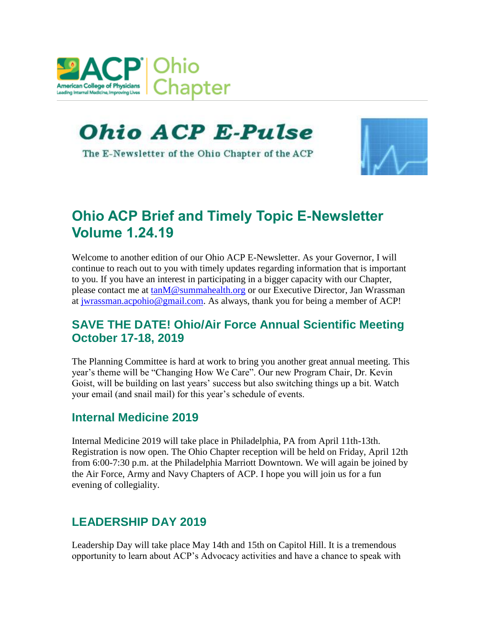

# **Ohio ACP E-Pulse**

The E-Newsletter of the Ohio Chapter of the ACP



# **Ohio ACP Brief and Timely Topic E-Newsletter Volume 1.24.19**

Welcome to another edition of our Ohio ACP E-Newsletter. As your Governor, I will continue to reach out to you with timely updates regarding information that is important to you. If you have an interest in participating in a bigger capacity with our Chapter, please contact me at [tanM@summahealth.org](mailto:tanM@summahealth.org) or our Executive Director, Jan Wrassman at [jwrassman.acpohio@gmail.com.](mailto:jwrassman.acpohio@gmail.com) As always, thank you for being a member of ACP!

#### **SAVE THE DATE! Ohio/Air Force Annual Scientific Meeting October 17-18, 2019**

The Planning Committee is hard at work to bring you another great annual meeting. This year's theme will be "Changing How We Care". Our new Program Chair, Dr. Kevin Goist, will be building on last years' success but also switching things up a bit. Watch your email (and snail mail) for this year's schedule of events.

#### **Internal Medicine 2019**

Internal Medicine 2019 will take place in Philadelphia, PA from April 11th-13th. Registration is now open. The Ohio Chapter reception will be held on Friday, April 12th from 6:00-7:30 p.m. at the Philadelphia Marriott Downtown. We will again be joined by the Air Force, Army and Navy Chapters of ACP. I hope you will join us for a fun evening of collegiality.

# **LEADERSHIP DAY 2019**

Leadership Day will take place May 14th and 15th on Capitol Hill. It is a tremendous opportunity to learn about ACP's Advocacy activities and have a chance to speak with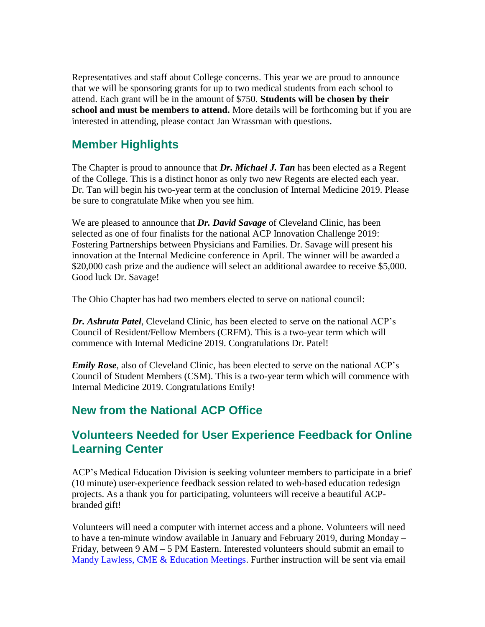Representatives and staff about College concerns. This year we are proud to announce that we will be sponsoring grants for up to two medical students from each school to attend. Each grant will be in the amount of \$750. **Students will be chosen by their school and must be members to attend.** More details will be forthcoming but if you are interested in attending, please contact Jan Wrassman with questions.

#### **Member Highlights**

The Chapter is proud to announce that *Dr. Michael J. Tan* has been elected as a Regent of the College. This is a distinct honor as only two new Regents are elected each year. Dr. Tan will begin his two-year term at the conclusion of Internal Medicine 2019. Please be sure to congratulate Mike when you see him.

We are pleased to announce that *Dr. David Savage* of Cleveland Clinic, has been selected as one of four finalists for the national ACP Innovation Challenge 2019: Fostering Partnerships between Physicians and Families. Dr. Savage will present his innovation at the Internal Medicine conference in April. The winner will be awarded a \$20,000 cash prize and the audience will select an additional awardee to receive \$5,000. Good luck Dr. Savage!

The Ohio Chapter has had two members elected to serve on national council:

*Dr. Ashruta Patel*, Cleveland Clinic, has been elected to serve on the national ACP's Council of Resident/Fellow Members (CRFM). This is a two-year term which will commence with Internal Medicine 2019. Congratulations Dr. Patel!

*Emily Rose*, also of Cleveland Clinic, has been elected to serve on the national ACP's Council of Student Members (CSM). This is a two-year term which will commence with Internal Medicine 2019. Congratulations Emily!

# **New from the National ACP Office**

#### **Volunteers Needed for User Experience Feedback for Online Learning Center**

ACP's Medical Education Division is seeking volunteer members to participate in a brief (10 minute) user-experience feedback session related to web-based education redesign projects. As a thank you for participating, volunteers will receive a beautiful ACPbranded gift!

Volunteers will need a computer with internet access and a phone. Volunteers will need to have a ten-minute window available in January and February 2019, during Monday – Friday, between 9 AM – 5 PM Eastern. Interested volunteers should submit an email to [Mandy Lawless, CME & Education Meetings.](mailto:acpemc@acponline.org) Further instruction will be sent via email